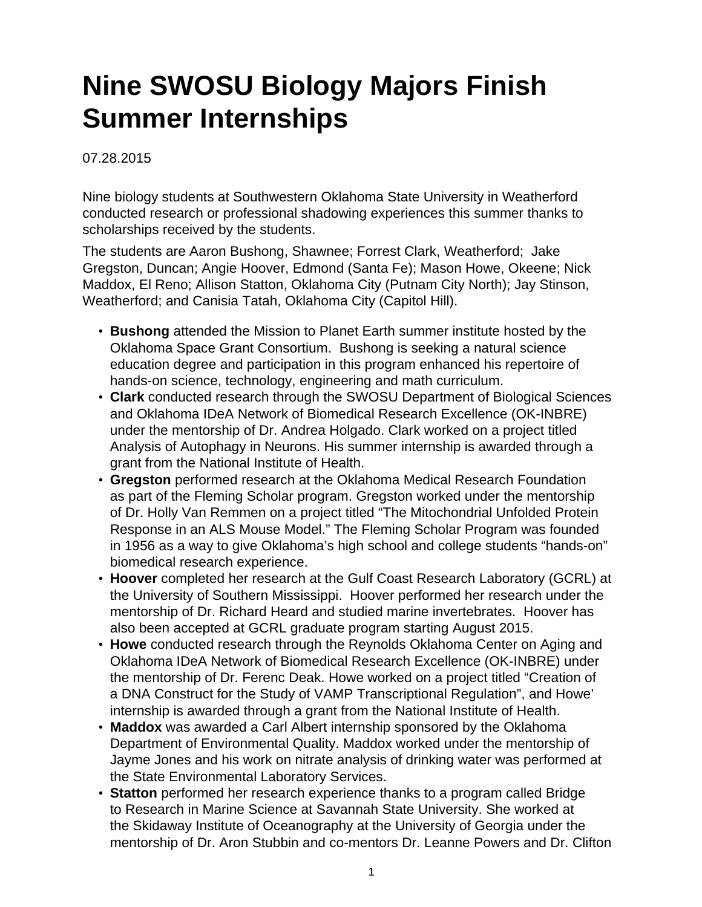## **Nine SWOSU Biology Majors Finish Summer Internships**

07.28.2015

Nine biology students at Southwestern Oklahoma State University in Weatherford conducted research or professional shadowing experiences this summer thanks to scholarships received by the students.

The students are Aaron Bushong, Shawnee; Forrest Clark, Weatherford; Jake Gregston, Duncan; Angie Hoover, Edmond (Santa Fe); Mason Howe, Okeene; Nick Maddox, El Reno; Allison Statton, Oklahoma City (Putnam City North); Jay Stinson, Weatherford; and Canisia Tatah, Oklahoma City (Capitol Hill).

- **Bushong** attended the Mission to Planet Earth summer institute hosted by the Oklahoma Space Grant Consortium. Bushong is seeking a natural science education degree and participation in this program enhanced his repertoire of hands-on science, technology, engineering and math curriculum.
- **Clark** conducted research through the SWOSU Department of Biological Sciences and Oklahoma IDeA Network of Biomedical Research Excellence (OK-INBRE) under the mentorship of Dr. Andrea Holgado. Clark worked on a project titled Analysis of Autophagy in Neurons. His summer internship is awarded through a grant from the National Institute of Health.
- **Gregston** performed research at the Oklahoma Medical Research Foundation as part of the Fleming Scholar program. Gregston worked under the mentorship of Dr. Holly Van Remmen on a project titled "The Mitochondrial Unfolded Protein Response in an ALS Mouse Model." The Fleming Scholar Program was founded in 1956 as a way to give Oklahoma's high school and college students "hands-on" biomedical research experience.
- **Hoover** completed her research at the Gulf Coast Research Laboratory (GCRL) at the University of Southern Mississippi. Hoover performed her research under the mentorship of Dr. Richard Heard and studied marine invertebrates. Hoover has also been accepted at GCRL graduate program starting August 2015.
- **Howe** conducted research through the Reynolds Oklahoma Center on Aging and Oklahoma IDeA Network of Biomedical Research Excellence (OK-INBRE) under the mentorship of Dr. Ferenc Deak. Howe worked on a project titled "Creation of a DNA Construct for the Study of VAMP Transcriptional Regulation", and Howe' internship is awarded through a grant from the National Institute of Health.
- **Maddox** was awarded a Carl Albert internship sponsored by the Oklahoma Department of Environmental Quality. Maddox worked under the mentorship of Jayme Jones and his work on nitrate analysis of drinking water was performed at the State Environmental Laboratory Services.
- **Statton** performed her research experience thanks to a program called Bridge to Research in Marine Science at Savannah State University. She worked at the Skidaway Institute of Oceanography at the University of Georgia under the mentorship of Dr. Aron Stubbin and co-mentors Dr. Leanne Powers and Dr. Clifton